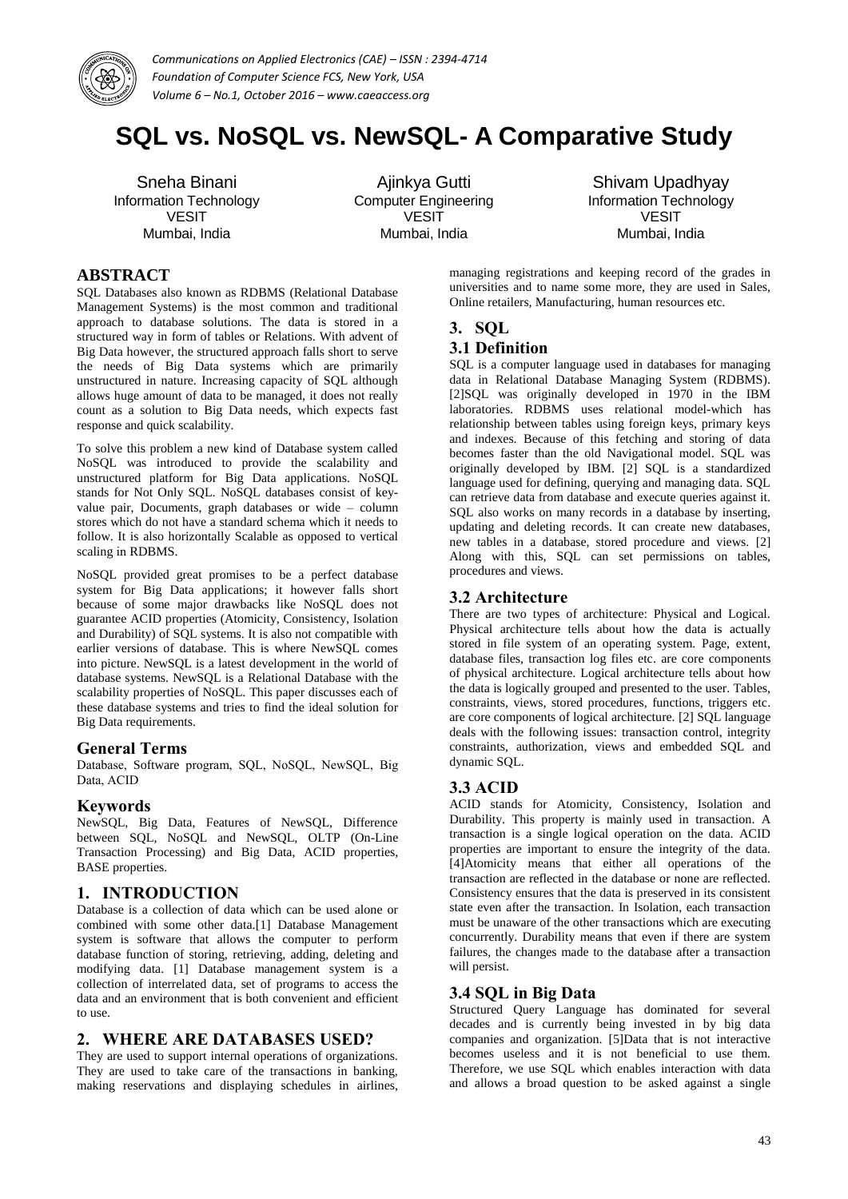

# **SQL vs. NoSQL vs. NewSQL- A Comparative Study**

Sneha Binani Information Technology VESIT Mumbai, India

Ajinkya Gutti Computer Engineering VESIT Mumbai, India

Shivam Upadhyay Information Technology VESIT Mumbai, India

# **ABSTRACT**

SQL Databases also known as RDBMS (Relational Database Management Systems) is the most common and traditional approach to database solutions. The data is stored in a structured way in form of tables or Relations. With advent of Big Data however, the structured approach falls short to serve the needs of Big Data systems which are primarily unstructured in nature. Increasing capacity of SQL although allows huge amount of data to be managed, it does not really count as a solution to Big Data needs, which expects fast response and quick scalability.

To solve this problem a new kind of Database system called NoSQL was introduced to provide the scalability and unstructured platform for Big Data applications. NoSQL stands for Not Only SQL. NoSQL databases consist of keyvalue pair, Documents, graph databases or wide – column stores which do not have a standard schema which it needs to follow. It is also horizontally Scalable as opposed to vertical scaling in RDBMS.

NoSQL provided great promises to be a perfect database system for Big Data applications; it however falls short because of some major drawbacks like NoSQL does not guarantee ACID properties (Atomicity, Consistency, Isolation and Durability) of SQL systems. It is also not compatible with earlier versions of database. This is where NewSQL comes into picture. NewSQL is a latest development in the world of database systems. NewSQL is a Relational Database with the scalability properties of NoSQL. This paper discusses each of these database systems and tries to find the ideal solution for Big Data requirements.

#### **General Terms**

Database, Software program, SQL, NoSQL, NewSQL, Big Data, ACID

#### **Keywords**

NewSQL, Big Data, Features of NewSQL, Difference between SQL, NoSQL and NewSQL, OLTP (On-Line Transaction Processing) and Big Data, ACID properties, BASE properties.

# **1. INTRODUCTION**

Database is a collection of data which can be used alone or combined with some other data.[1] Database Management system is software that allows the computer to perform database function of storing, retrieving, adding, deleting and modifying data. [1] Database management system is a collection of interrelated data, set of programs to access the data and an environment that is both convenient and efficient to use.

# **2. WHERE ARE DATABASES USED?**

They are used to support internal operations of organizations. They are used to take care of the transactions in banking, making reservations and displaying schedules in airlines, managing registrations and keeping record of the grades in universities and to name some more, they are used in Sales, Online retailers, Manufacturing, human resources etc.

# **3. SQL**

#### **3.1 Definition**

SQL is a computer language used in databases for managing data in Relational Database Managing System (RDBMS). [2]SQL was originally developed in 1970 in the IBM laboratories. RDBMS uses relational model-which has relationship between tables using foreign keys, primary keys and indexes. Because of this fetching and storing of data becomes faster than the old Navigational model. SQL was originally developed by IBM. [2] SQL is a standardized language used for defining, querying and managing data. SQL can retrieve data from database and execute queries against it. SQL also works on many records in a database by inserting, updating and deleting records. It can create new databases, new tables in a database, stored procedure and views. [2] Along with this, SQL can set permissions on tables, procedures and views.

#### **3.2 Architecture**

There are two types of architecture: Physical and Logical. Physical architecture tells about how the data is actually stored in file system of an operating system. Page, extent, database files, transaction log files etc. are core components of physical architecture. Logical architecture tells about how the data is logically grouped and presented to the user. Tables, constraints, views, stored procedures, functions, triggers etc. are core components of logical architecture. [2] SQL language deals with the following issues: transaction control, integrity constraints, authorization, views and embedded SQL and dynamic SQL.

# **3.3 ACID**

ACID stands for Atomicity, Consistency, Isolation and Durability. This property is mainly used in transaction. A transaction is a single logical operation on the data. ACID properties are important to ensure the integrity of the data. [4]Atomicity means that either all operations of the transaction are reflected in the database or none are reflected. Consistency ensures that the data is preserved in its consistent state even after the transaction. In Isolation, each transaction must be unaware of the other transactions which are executing concurrently. Durability means that even if there are system failures, the changes made to the database after a transaction will persist.

# **3.4 SQL in Big Data**

Structured Query Language has dominated for several decades and is currently being invested in by big data companies and organization. [5]Data that is not interactive becomes useless and it is not beneficial to use them. Therefore, we use SQL which enables interaction with data and allows a broad question to be asked against a single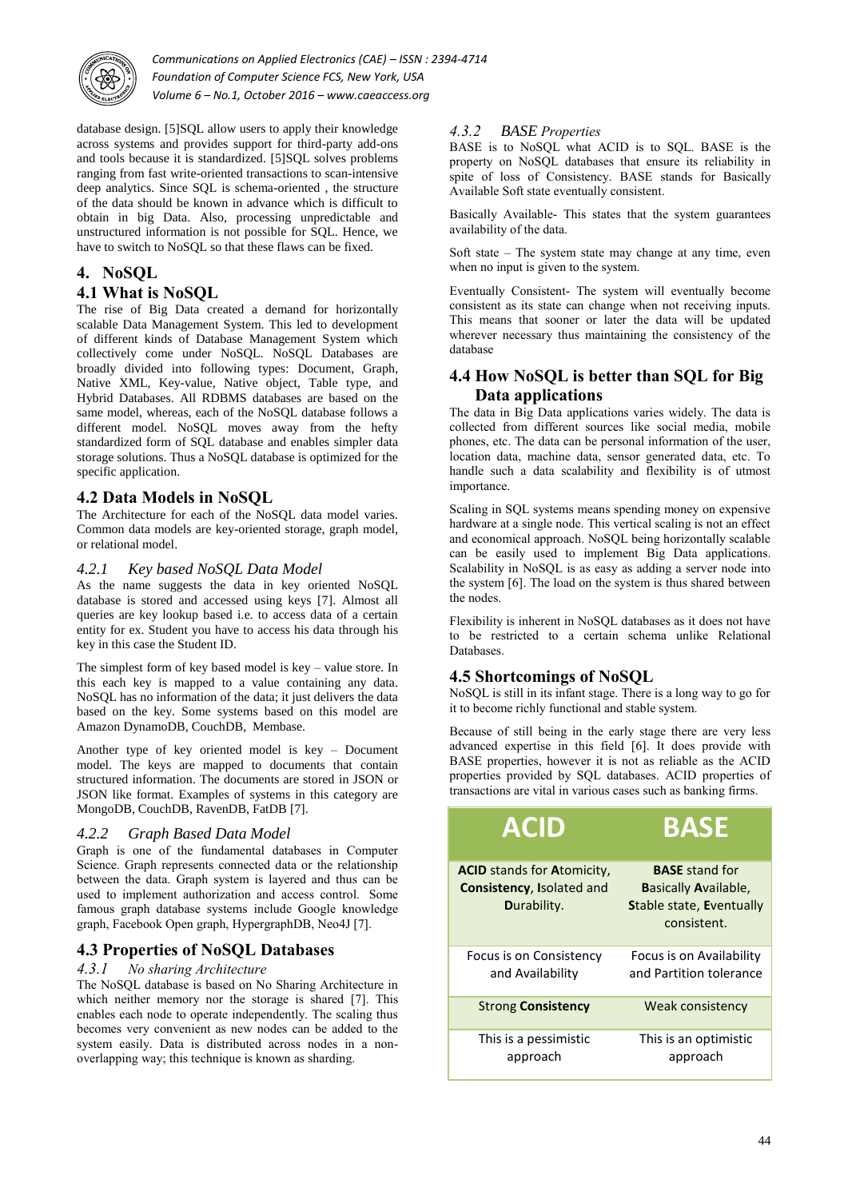

database design. [5]SQL allow users to apply their knowledge across systems and provides support for third-party add-ons and tools because it is standardized. [5]SQL solves problems ranging from fast write-oriented transactions to scan-intensive deep analytics. Since SQL is schema-oriented , the structure of the data should be known in advance which is difficult to obtain in big Data. Also, processing unpredictable and unstructured information is not possible for SQL. Hence, we have to switch to NoSQL so that these flaws can be fixed.

# **4. NoSQL**

# **4.1 What is NoSQL**

The rise of Big Data created a demand for horizontally scalable Data Management System. This led to development of different kinds of Database Management System which collectively come under NoSQL. NoSQL Databases are broadly divided into following types: Document, Graph, Native XML, Key-value, Native object, Table type, and Hybrid Databases. All RDBMS databases are based on the same model, whereas, each of the NoSQL database follows a different model. NoSQL moves away from the hefty standardized form of SQL database and enables simpler data storage solutions. Thus a NoSQL database is optimized for the specific application.

# **4.2 Data Models in NoSQL**

The Architecture for each of the NoSQL data model varies. Common data models are key-oriented storage, graph model, or relational model.

# *4.2.1 Key based NoSQL Data Model*

As the name suggests the data in key oriented NoSQL database is stored and accessed using keys [7]. Almost all queries are key lookup based i.e. to access data of a certain entity for ex. Student you have to access his data through his key in this case the Student ID.

The simplest form of key based model is key – value store. In this each key is mapped to a value containing any data. NoSQL has no information of the data; it just delivers the data based on the key. Some systems based on this model are Amazon DynamoDB, CouchDB, Membase.

Another type of key oriented model is key – Document model. The keys are mapped to documents that contain structured information. The documents are stored in JSON or JSON like format. Examples of systems in this category are MongoDB, CouchDB, RavenDB, FatDB [7].

# *4.2.2 Graph Based Data Model*

Graph is one of the fundamental databases in Computer Science. Graph represents connected data or the relationship between the data. Graph system is layered and thus can be used to implement authorization and access control. Some famous graph database systems include Google knowledge graph, Facebook Open graph, HypergraphDB, Neo4J [7].

# **4.3 Properties of NoSQL Databases**

#### *4.3.1 No sharing Architecture*

The NoSQL database is based on No Sharing Architecture in which neither memory nor the storage is shared [7]. This enables each node to operate independently. The scaling thus becomes very convenient as new nodes can be added to the system easily. Data is distributed across nodes in a nonoverlapping way; this technique is known as sharding.

#### *4.3.2 BASE Properties*

BASE is to NoSQL what ACID is to SQL. BASE is the property on NoSQL databases that ensure its reliability in spite of loss of Consistency. BASE stands for Basically Available Soft state eventually consistent.

Basically Available- This states that the system guarantees availability of the data.

Soft state – The system state may change at any time, even when no input is given to the system.

Eventually Consistent- The system will eventually become consistent as its state can change when not receiving inputs. This means that sooner or later the data will be updated wherever necessary thus maintaining the consistency of the database

# **4.4 How NoSQL is better than SQL for Big Data applications**

The data in Big Data applications varies widely. The data is collected from different sources like social media, mobile phones, etc. The data can be personal information of the user, location data, machine data, sensor generated data, etc. To handle such a data scalability and flexibility is of utmost importance.

Scaling in SQL systems means spending money on expensive hardware at a single node. This vertical scaling is not an effect and economical approach. NoSQL being horizontally scalable can be easily used to implement Big Data applications. Scalability in NoSQL is as easy as adding a server node into the system [6]. The load on the system is thus shared between the nodes.

Flexibility is inherent in NoSQL databases as it does not have to be restricted to a certain schema unlike Relational Databases.

# **4.5 Shortcomings of NoSQL**

NoSQL is still in its infant stage. There is a long way to go for it to become richly functional and stable system.

Because of still being in the early stage there are very less advanced expertise in this field [6]. It does provide with BASE properties, however it is not as reliable as the ACID properties provided by SQL databases. ACID properties of transactions are vital in various cases such as banking firms.

| <b>ACID</b>                                                                           | <b>BASE</b>                                                                                            |
|---------------------------------------------------------------------------------------|--------------------------------------------------------------------------------------------------------|
| <b>ACID</b> stands for <b>Atomicity</b> ,<br>Consistency, Isolated and<br>Durability. | <b>BASE</b> stand for<br><b>Basically Available,</b><br><b>Stable state, Eventually</b><br>consistent. |
| Focus is on Consistency<br>and Availability                                           | Focus is on Availability<br>and Partition tolerance                                                    |
| <b>Strong Consistency</b>                                                             | Weak consistency                                                                                       |
| This is a pessimistic<br>approach                                                     | This is an optimistic<br>approach                                                                      |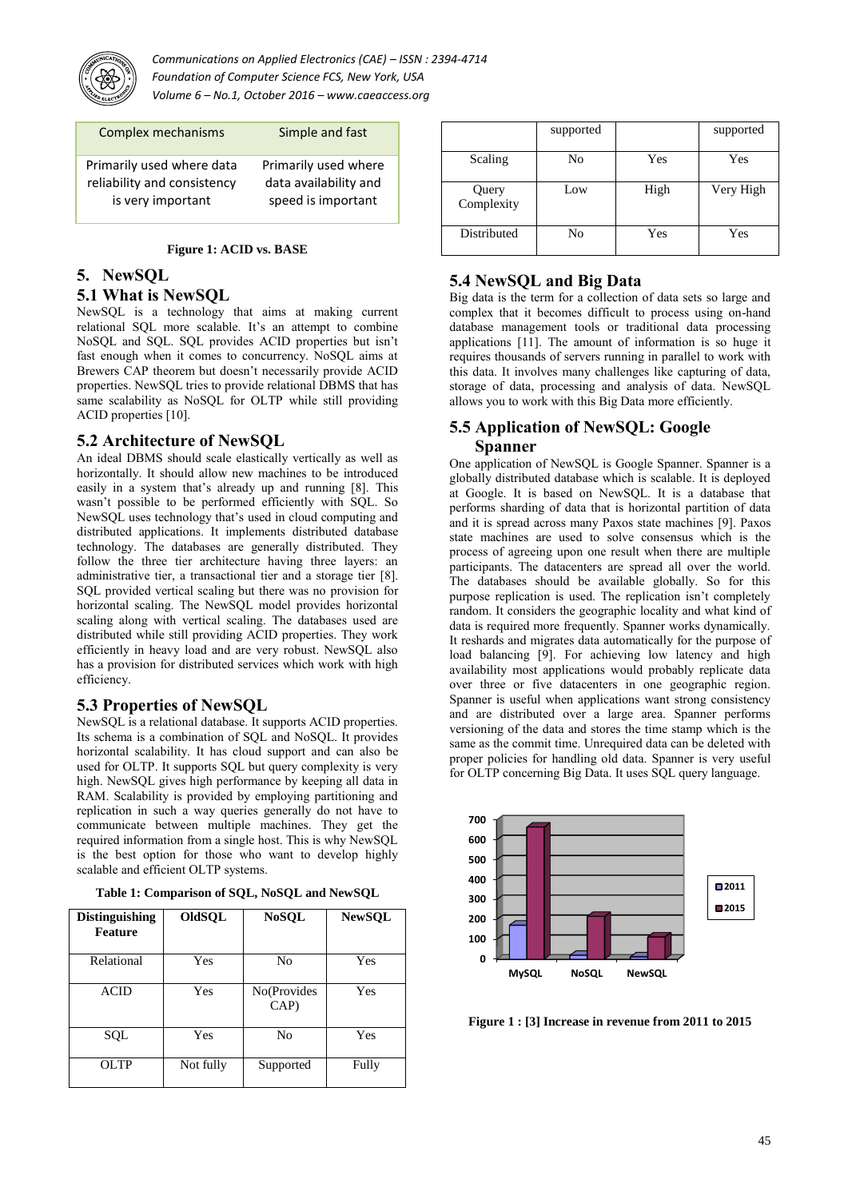

| Complex mechanisms          | Simple and fast       |
|-----------------------------|-----------------------|
| Primarily used where data   | Primarily used where  |
| reliability and consistency | data availability and |
| is very important           | speed is important    |

#### **Figure 1: ACID vs. BASE**

### **5. NewSQL**

#### **5.1 What is NewSQL**

NewSQL is a technology that aims at making current relational SQL more scalable. It's an attempt to combine NoSQL and SQL. SQL provides ACID properties but isn't fast enough when it comes to concurrency. NoSQL aims at Brewers CAP theorem but doesn't necessarily provide ACID properties. NewSQL tries to provide relational DBMS that has same scalability as NoSQL for OLTP while still providing ACID properties [10].

# **5.2 Architecture of NewSQL**

An ideal DBMS should scale elastically vertically as well as horizontally. It should allow new machines to be introduced easily in a system that's already up and running [8]. This wasn't possible to be performed efficiently with SQL. So NewSQL uses technology that's used in cloud computing and distributed applications. It implements distributed database technology. The databases are generally distributed. They follow the three tier architecture having three layers: an administrative tier, a transactional tier and a storage tier [8]. SQL provided vertical scaling but there was no provision for horizontal scaling. The NewSQL model provides horizontal scaling along with vertical scaling. The databases used are distributed while still providing ACID properties. They work efficiently in heavy load and are very robust. NewSQL also has a provision for distributed services which work with high efficiency.

#### **5.3 Properties of NewSQL**

NewSQL is a relational database. It supports ACID properties. Its schema is a combination of SQL and NoSQL. It provides horizontal scalability. It has cloud support and can also be used for OLTP. It supports SQL but query complexity is very high. NewSQL gives high performance by keeping all data in RAM. Scalability is provided by employing partitioning and replication in such a way queries generally do not have to communicate between multiple machines. They get the required information from a single host. This is why NewSQL is the best option for those who want to develop highly scalable and efficient OLTP systems.

| <b>Distinguishing</b><br>Feature | OldSQL    | <b>NoSQL</b>        | <b>NewSQL</b> |
|----------------------------------|-----------|---------------------|---------------|
| Relational                       | Yes       | No                  | Yes           |
| <b>ACID</b>                      | Yes       | No(Provides<br>CAP) | Yes           |
| SQL                              | Yes       | No                  | Yes           |
| OLTP                             | Not fully | Supported           | Fully         |

**Table 1: Comparison of SQL, NoSQL and NewSQL**

|                     | supported |      | supported |
|---------------------|-----------|------|-----------|
| Scaling             | No        | Yes  | Yes       |
| Query<br>Complexity | Low       | High | Very High |
| Distributed         | No        | Yes  | Yes       |

# **5.4 NewSQL and Big Data**

Big data is the term for a collection of data sets so large and complex that it becomes difficult to process using on-hand database management tools or traditional data processing applications [11]. The amount of information is so huge it requires thousands of servers running in parallel to work with this data. It involves many challenges like capturing of data, storage of data, processing and analysis of data. NewSQL allows you to work with this Big Data more efficiently.

# **5.5 Application of NewSQL: Google Spanner**

One application of NewSQL is Google Spanner. Spanner is a globally distributed database which is scalable. It is deployed at Google. It is based on NewSQL. It is a database that performs sharding of data that is horizontal partition of data and it is spread across many Paxos state machines [9]. Paxos state machines are used to solve consensus which is the process of agreeing upon one result when there are multiple participants. The datacenters are spread all over the world. The databases should be available globally. So for this purpose replication is used. The replication isn't completely random. It considers the geographic locality and what kind of data is required more frequently. Spanner works dynamically. It reshards and migrates data automatically for the purpose of load balancing [9]. For achieving low latency and high availability most applications would probably replicate data over three or five datacenters in one geographic region. Spanner is useful when applications want strong consistency and are distributed over a large area. Spanner performs versioning of the data and stores the time stamp which is the same as the commit time. Unrequired data can be deleted with proper policies for handling old data. Spanner is very useful for OLTP concerning Big Data. It uses SOL query language.



**Figure 1 : [3] Increase in revenue from 2011 to 2015**